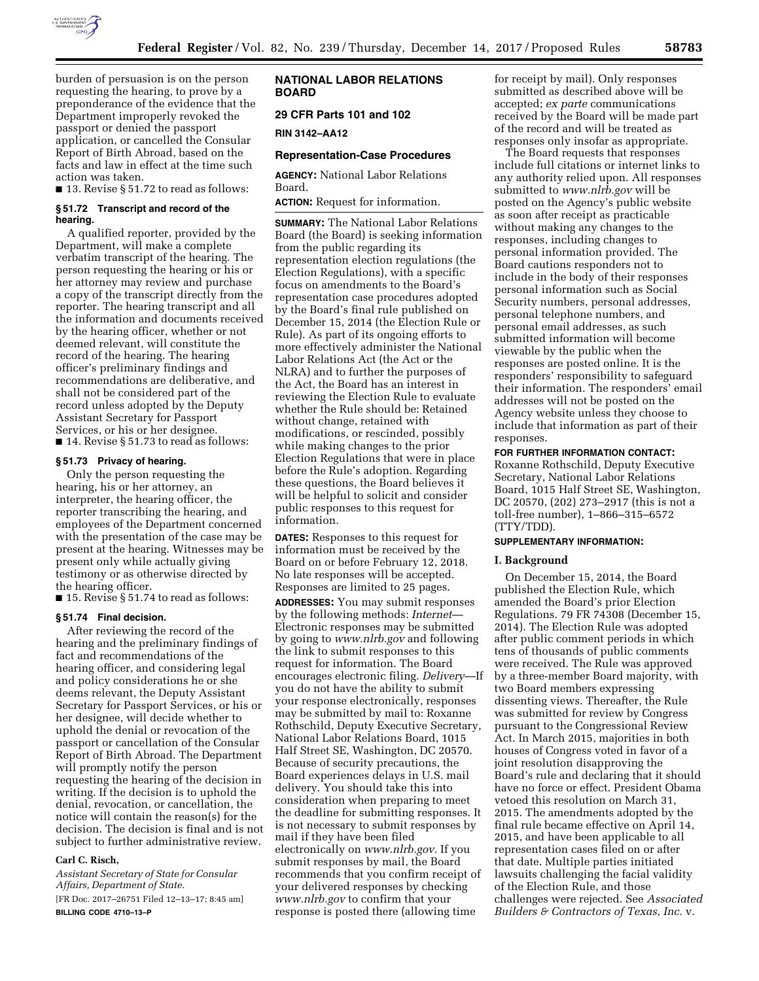

burden of persuasion is on the person requesting the hearing, to prove by a preponderance of the evidence that the Department improperly revoked the passport or denied the passport application, or cancelled the Consular Report of Birth Abroad, based on the facts and law in effect at the time such action was taken.

■ 13. Revise § 51.72 to read as follows:

#### **§ 51.72 Transcript and record of the hearing.**

A qualified reporter, provided by the Department, will make a complete verbatim transcript of the hearing. The person requesting the hearing or his or her attorney may review and purchase a copy of the transcript directly from the reporter. The hearing transcript and all the information and documents received by the hearing officer, whether or not deemed relevant, will constitute the record of the hearing. The hearing officer's preliminary findings and recommendations are deliberative, and shall not be considered part of the record unless adopted by the Deputy Assistant Secretary for Passport Services, or his or her designee. ■ 14. Revise § 51.73 to read as follows:

### **§ 51.73 Privacy of hearing.**

Only the person requesting the hearing, his or her attorney, an interpreter, the hearing officer, the reporter transcribing the hearing, and employees of the Department concerned with the presentation of the case may be present at the hearing. Witnesses may be present only while actually giving testimony or as otherwise directed by the hearing officer.

■ 15. Revise § 51.74 to read as follows:

### **§ 51.74 Final decision.**

After reviewing the record of the hearing and the preliminary findings of fact and recommendations of the hearing officer, and considering legal and policy considerations he or she deems relevant, the Deputy Assistant Secretary for Passport Services, or his or her designee, will decide whether to uphold the denial or revocation of the passport or cancellation of the Consular Report of Birth Abroad. The Department will promptly notify the person requesting the hearing of the decision in writing. If the decision is to uphold the denial, revocation, or cancellation, the notice will contain the reason(s) for the decision. The decision is final and is not subject to further administrative review.

# **Carl C. Risch,**

*Assistant Secretary of State for Consular Affairs, Department of State.* 

[FR Doc. 2017–26751 Filed 12–13–17; 8:45 am] **BILLING CODE 4710–13–P** 

# **NATIONAL LABOR RELATIONS BOARD**

# **29 CFR Parts 101 and 102**

**RIN 3142–AA12** 

### **Representation-Case Procedures**

**AGENCY:** National Labor Relations Board.

**ACTION:** Request for information.

**SUMMARY:** The National Labor Relations Board (the Board) is seeking information from the public regarding its representation election regulations (the Election Regulations), with a specific focus on amendments to the Board's representation case procedures adopted by the Board's final rule published on December 15, 2014 (the Election Rule or Rule). As part of its ongoing efforts to more effectively administer the National Labor Relations Act (the Act or the NLRA) and to further the purposes of the Act, the Board has an interest in reviewing the Election Rule to evaluate whether the Rule should be: Retained without change, retained with modifications, or rescinded, possibly while making changes to the prior Election Regulations that were in place before the Rule's adoption. Regarding these questions, the Board believes it will be helpful to solicit and consider public responses to this request for information.

**DATES:** Responses to this request for information must be received by the Board on or before February 12, 2018. No late responses will be accepted. Responses are limited to 25 pages.

**ADDRESSES:** You may submit responses by the following methods: *Internet*— Electronic responses may be submitted by going to *[www.nlrb.gov](http://www.nlrb.gov)* and following the link to submit responses to this request for information. The Board encourages electronic filing. *Delivery*—If you do not have the ability to submit your response electronically, responses may be submitted by mail to: Roxanne Rothschild, Deputy Executive Secretary, National Labor Relations Board, 1015 Half Street SE, Washington, DC 20570. Because of security precautions, the Board experiences delays in U.S. mail delivery. You should take this into consideration when preparing to meet the deadline for submitting responses. It is not necessary to submit responses by mail if they have been filed electronically on *[www.nlrb.gov.](http://www.nlrb.gov)* If you submit responses by mail, the Board recommends that you confirm receipt of your delivered responses by checking *[www.nlrb.gov](http://www.nlrb.gov)* to confirm that your response is posted there (allowing time

for receipt by mail). Only responses submitted as described above will be accepted; *ex parte* communications received by the Board will be made part of the record and will be treated as responses only insofar as appropriate.

The Board requests that responses include full citations or internet links to any authority relied upon. All responses submitted to *[www.nlrb.gov](http://www.nlrb.gov)* will be posted on the Agency's public website as soon after receipt as practicable without making any changes to the responses, including changes to personal information provided. The Board cautions responders not to include in the body of their responses personal information such as Social Security numbers, personal addresses, personal telephone numbers, and personal email addresses, as such submitted information will become viewable by the public when the responses are posted online. It is the responders' responsibility to safeguard their information. The responders' email addresses will not be posted on the Agency website unless they choose to include that information as part of their responses.

### **FOR FURTHER INFORMATION CONTACT:**

Roxanne Rothschild, Deputy Executive Secretary, National Labor Relations Board, 1015 Half Street SE, Washington, DC 20570, (202) 273–2917 (this is not a toll-free number), 1–866–315–6572 (TTY/TDD).

### **SUPPLEMENTARY INFORMATION:**

#### **I. Background**

On December 15, 2014, the Board published the Election Rule, which amended the Board's prior Election Regulations. 79 FR 74308 (December 15, 2014). The Election Rule was adopted after public comment periods in which tens of thousands of public comments were received. The Rule was approved by a three-member Board majority, with two Board members expressing dissenting views. Thereafter, the Rule was submitted for review by Congress pursuant to the Congressional Review Act. In March 2015, majorities in both houses of Congress voted in favor of a joint resolution disapproving the Board's rule and declaring that it should have no force or effect. President Obama vetoed this resolution on March 31, 2015. The amendments adopted by the final rule became effective on April 14, 2015, and have been applicable to all representation cases filed on or after that date. Multiple parties initiated lawsuits challenging the facial validity of the Election Rule, and those challenges were rejected. See *Associated Builders & Contractors of Texas, Inc.* v.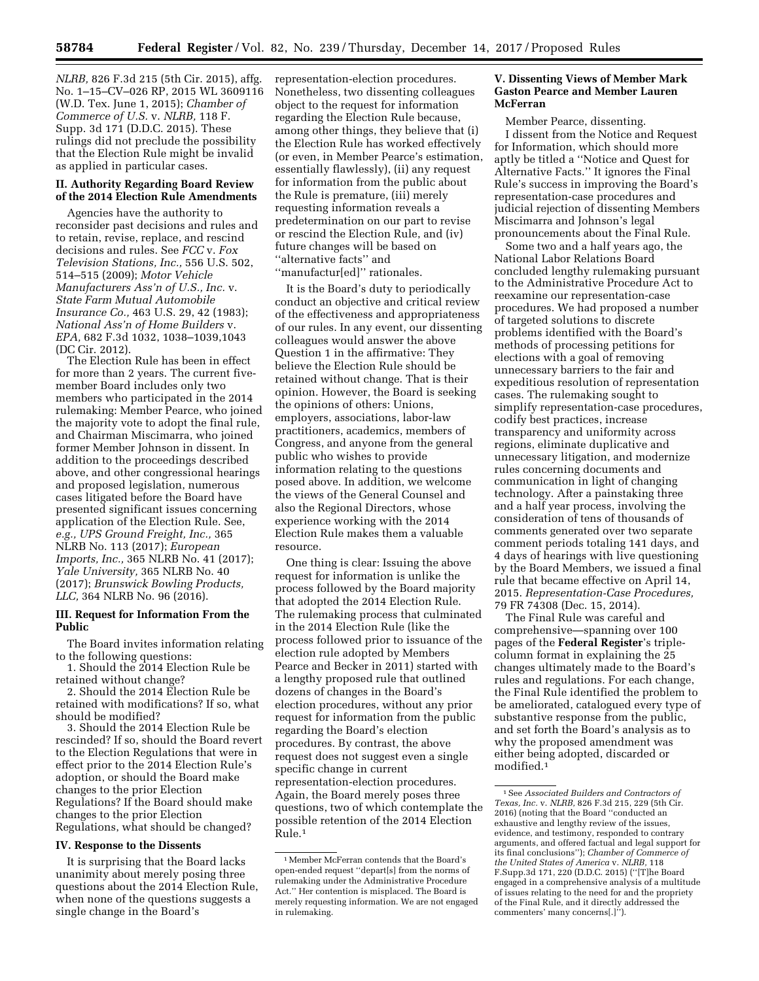*NLRB,* 826 F.3d 215 (5th Cir. 2015), affg. No. 1–15–CV–026 RP, 2015 WL 3609116 (W.D. Tex. June 1, 2015); *Chamber of Commerce of U.S.* v. *NLRB,* 118 F. Supp. 3d 171 (D.D.C. 2015). These rulings did not preclude the possibility that the Election Rule might be invalid as applied in particular cases.

### **II. Authority Regarding Board Review of the 2014 Election Rule Amendments**

Agencies have the authority to reconsider past decisions and rules and to retain, revise, replace, and rescind decisions and rules. See *FCC* v. *Fox Television Stations, Inc.,* 556 U.S. 502, 514–515 (2009); *Motor Vehicle Manufacturers Ass'n of U.S., Inc.* v. *State Farm Mutual Automobile Insurance Co.,* 463 U.S. 29, 42 (1983); *National Ass'n of Home Builders* v. *EPA,* 682 F.3d 1032, 1038–1039,1043 (DC Cir. 2012).

The Election Rule has been in effect for more than 2 years. The current fivemember Board includes only two members who participated in the 2014 rulemaking: Member Pearce, who joined the majority vote to adopt the final rule, and Chairman Miscimarra, who joined former Member Johnson in dissent. In addition to the proceedings described above, and other congressional hearings and proposed legislation, numerous cases litigated before the Board have presented significant issues concerning application of the Election Rule. See, *e.g., UPS Ground Freight, Inc.,* 365 NLRB No. 113 (2017); *European Imports, Inc.,* 365 NLRB No. 41 (2017); *Yale University,* 365 NLRB No. 40 (2017); *Brunswick Bowling Products, LLC,* 364 NLRB No. 96 (2016).

### **III. Request for Information From the Public**

The Board invites information relating to the following questions:

1. Should the 2014 Election Rule be retained without change?

2. Should the 2014 Election Rule be retained with modifications? If so, what should be modified?

3. Should the 2014 Election Rule be rescinded? If so, should the Board revert to the Election Regulations that were in effect prior to the 2014 Election Rule's adoption, or should the Board make changes to the prior Election Regulations? If the Board should make changes to the prior Election Regulations, what should be changed?

#### **IV. Response to the Dissents**

It is surprising that the Board lacks unanimity about merely posing three questions about the 2014 Election Rule, when none of the questions suggests a single change in the Board's

representation-election procedures. Nonetheless, two dissenting colleagues object to the request for information regarding the Election Rule because, among other things, they believe that (i) the Election Rule has worked effectively (or even, in Member Pearce's estimation, essentially flawlessly), (ii) any request for information from the public about the Rule is premature, (iii) merely requesting information reveals a predetermination on our part to revise or rescind the Election Rule, and (iv) future changes will be based on ''alternative facts'' and ''manufactur[ed]'' rationales.

It is the Board's duty to periodically conduct an objective and critical review of the effectiveness and appropriateness of our rules. In any event, our dissenting colleagues would answer the above Question 1 in the affirmative: They believe the Election Rule should be retained without change. That is their opinion. However, the Board is seeking the opinions of others: Unions, employers, associations, labor-law practitioners, academics, members of Congress, and anyone from the general public who wishes to provide information relating to the questions posed above. In addition, we welcome the views of the General Counsel and also the Regional Directors, whose experience working with the 2014 Election Rule makes them a valuable resource.

One thing is clear: Issuing the above request for information is unlike the process followed by the Board majority that adopted the 2014 Election Rule. The rulemaking process that culminated in the 2014 Election Rule (like the process followed prior to issuance of the election rule adopted by Members Pearce and Becker in 2011) started with a lengthy proposed rule that outlined dozens of changes in the Board's election procedures, without any prior request for information from the public regarding the Board's election procedures. By contrast, the above request does not suggest even a single specific change in current representation-election procedures. Again, the Board merely poses three questions, two of which contemplate the possible retention of the 2014 Election Rule.1

## **V. Dissenting Views of Member Mark Gaston Pearce and Member Lauren McFerran**

Member Pearce, dissenting. I dissent from the Notice and Request for Information, which should more aptly be titled a ''Notice and Quest for Alternative Facts.'' It ignores the Final Rule's success in improving the Board's representation-case procedures and judicial rejection of dissenting Members Miscimarra and Johnson's legal pronouncements about the Final Rule.

Some two and a half years ago, the National Labor Relations Board concluded lengthy rulemaking pursuant to the Administrative Procedure Act to reexamine our representation-case procedures. We had proposed a number of targeted solutions to discrete problems identified with the Board's methods of processing petitions for elections with a goal of removing unnecessary barriers to the fair and expeditious resolution of representation cases. The rulemaking sought to simplify representation-case procedures, codify best practices, increase transparency and uniformity across regions, eliminate duplicative and unnecessary litigation, and modernize rules concerning documents and communication in light of changing technology. After a painstaking three and a half year process, involving the consideration of tens of thousands of comments generated over two separate comment periods totaling 141 days, and 4 days of hearings with live questioning by the Board Members, we issued a final rule that became effective on April 14, 2015. *Representation-Case Procedures,*  79 FR 74308 (Dec. 15, 2014).

The Final Rule was careful and comprehensive—spanning over 100 pages of the **Federal Register**'s triplecolumn format in explaining the 25 changes ultimately made to the Board's rules and regulations. For each change, the Final Rule identified the problem to be ameliorated, catalogued every type of substantive response from the public, and set forth the Board's analysis as to why the proposed amendment was either being adopted, discarded or modified.1

<sup>1</sup>Member McFerran contends that the Board's open-ended request ''depart[s] from the norms of rulemaking under the Administrative Procedure Act.'' Her contention is misplaced. The Board is merely requesting information. We are not engaged in rulemaking.

<sup>1</sup>See *Associated Builders and Contractors of Texas, Inc.* v. *NLRB,* 826 F.3d 215, 229 (5th Cir. 2016) (noting that the Board ''conducted an exhaustive and lengthy review of the issues, evidence, and testimony, responded to contrary arguments, and offered factual and legal support for its final conclusions''); *Chamber of Commerce of the United States of America* v. *NLRB,* 118 F.Supp.3d 171, 220 (D.D.C. 2015) (''[T]he Board engaged in a comprehensive analysis of a multitude of issues relating to the need for and the propriety of the Final Rule, and it directly addressed the commenters' many concerns[.]'').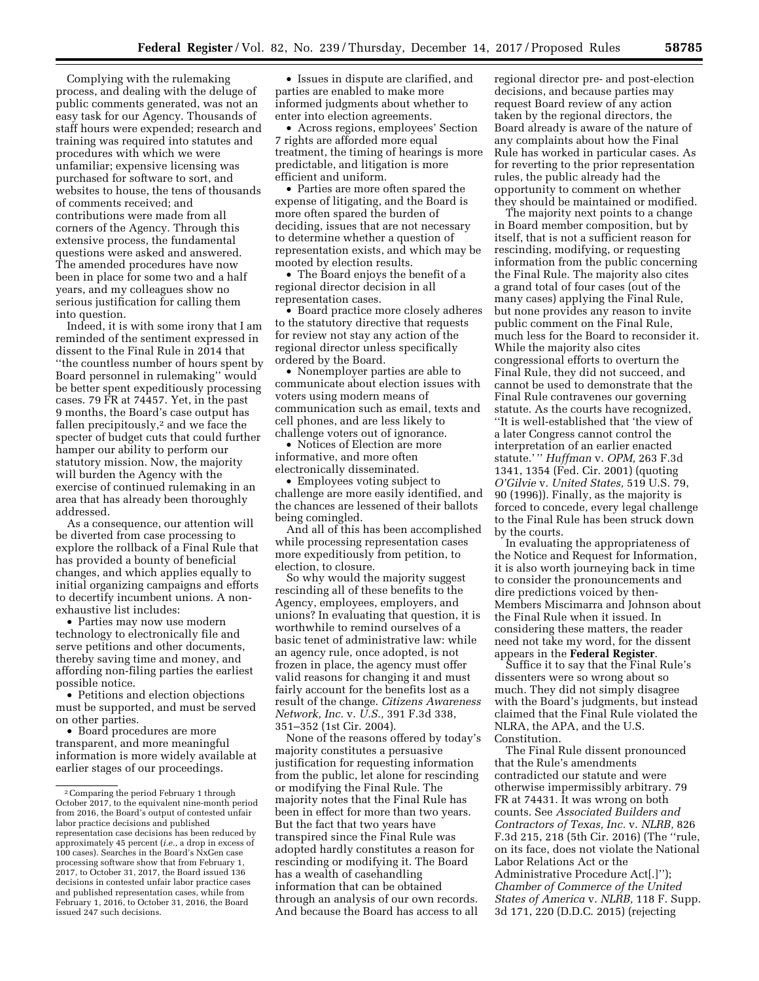Complying with the rulemaking process, and dealing with the deluge of public comments generated, was not an easy task for our Agency. Thousands of staff hours were expended; research and training was required into statutes and procedures with which we were unfamiliar; expensive licensing was purchased for software to sort, and websites to house, the tens of thousands of comments received; and contributions were made from all corners of the Agency. Through this extensive process, the fundamental questions were asked and answered. The amended procedures have now been in place for some two and a half years, and my colleagues show no serious justification for calling them into question.

Indeed, it is with some irony that I am reminded of the sentiment expressed in dissent to the Final Rule in 2014 that ''the countless number of hours spent by Board personnel in rulemaking'' would be better spent expeditiously processing cases. 79 FR at 74457. Yet, in the past 9 months, the Board's case output has fallen precipitously,2 and we face the specter of budget cuts that could further hamper our ability to perform our statutory mission. Now, the majority will burden the Agency with the exercise of continued rulemaking in an area that has already been thoroughly addressed.

As a consequence, our attention will be diverted from case processing to explore the rollback of a Final Rule that has provided a bounty of beneficial changes, and which applies equally to initial organizing campaigns and efforts to decertify incumbent unions. A nonexhaustive list includes:

• Parties may now use modern technology to electronically file and serve petitions and other documents, thereby saving time and money, and affording non-filing parties the earliest possible notice.

• Petitions and election objections must be supported, and must be served on other parties.

• Board procedures are more transparent, and more meaningful information is more widely available at earlier stages of our proceedings.

• Issues in dispute are clarified, and parties are enabled to make more informed judgments about whether to enter into election agreements.

• Across regions, employees' Section 7 rights are afforded more equal treatment, the timing of hearings is more predictable, and litigation is more efficient and uniform.

• Parties are more often spared the expense of litigating, and the Board is more often spared the burden of deciding, issues that are not necessary to determine whether a question of representation exists, and which may be mooted by election results.

• The Board enjoys the benefit of a regional director decision in all representation cases.

• Board practice more closely adheres to the statutory directive that requests for review not stay any action of the regional director unless specifically ordered by the Board.

• Nonemployer parties are able to communicate about election issues with voters using modern means of communication such as email, texts and cell phones, and are less likely to challenge voters out of ignorance.

• Notices of Election are more informative, and more often electronically disseminated.

• Employees voting subject to challenge are more easily identified, and the chances are lessened of their ballots being comingled.

And all of this has been accomplished while processing representation cases more expeditiously from petition, to election, to closure.

So why would the majority suggest rescinding all of these benefits to the Agency, employees, employers, and unions? In evaluating that question, it is worthwhile to remind ourselves of a basic tenet of administrative law: while an agency rule, once adopted, is not frozen in place, the agency must offer valid reasons for changing it and must fairly account for the benefits lost as a result of the change. *Citizens Awareness Network, Inc.* v. *U.S.,* 391 F.3d 338, 351–352 (1st Cir. 2004).

None of the reasons offered by today's majority constitutes a persuasive justification for requesting information from the public, let alone for rescinding or modifying the Final Rule. The majority notes that the Final Rule has been in effect for more than two years. But the fact that two years have transpired since the Final Rule was adopted hardly constitutes a reason for rescinding or modifying it. The Board has a wealth of casehandling information that can be obtained through an analysis of our own records. And because the Board has access to all

regional director pre- and post-election decisions, and because parties may request Board review of any action taken by the regional directors, the Board already is aware of the nature of any complaints about how the Final Rule has worked in particular cases. As for reverting to the prior representation rules, the public already had the opportunity to comment on whether they should be maintained or modified.

The majority next points to a change in Board member composition, but by itself, that is not a sufficient reason for rescinding, modifying, or requesting information from the public concerning the Final Rule. The majority also cites a grand total of four cases (out of the many cases) applying the Final Rule, but none provides any reason to invite public comment on the Final Rule, much less for the Board to reconsider it. While the majority also cites congressional efforts to overturn the Final Rule, they did not succeed, and cannot be used to demonstrate that the Final Rule contravenes our governing statute. As the courts have recognized, ''It is well-established that 'the view of a later Congress cannot control the interpretation of an earlier enacted statute.' '' *Huffman* v. *OPM,* 263 F.3d 1341, 1354 (Fed. Cir. 2001) (quoting *O'Gilvie* v. *United States,* 519 U.S. 79, 90 (1996)). Finally, as the majority is forced to concede, every legal challenge to the Final Rule has been struck down by the courts.

In evaluating the appropriateness of the Notice and Request for Information, it is also worth journeying back in time to consider the pronouncements and dire predictions voiced by then-Members Miscimarra and Johnson about the Final Rule when it issued. In considering these matters, the reader need not take my word, for the dissent appears in the **Federal Register**.

Suffice it to say that the Final Rule's dissenters were so wrong about so much. They did not simply disagree with the Board's judgments, but instead claimed that the Final Rule violated the NLRA, the APA, and the U.S. Constitution.

The Final Rule dissent pronounced that the Rule's amendments contradicted our statute and were otherwise impermissibly arbitrary. 79 FR at 74431. It was wrong on both counts. See *Associated Builders and Contractors of Texas, Inc.* v. *NLRB,* 826 F.3d 215, 218 (5th Cir. 2016) (The ''rule, on its face, does not violate the National Labor Relations Act or the Administrative Procedure Act[.]''); *Chamber of Commerce of the United States of America* v. *NLRB,* 118 F. Supp. 3d 171, 220 (D.D.C. 2015) (rejecting

<sup>2</sup>Comparing the period February 1 through October 2017, to the equivalent nine-month period from 2016, the Board's output of contested unfair labor practice decisions and published representation case decisions has been reduced by approximately 45 percent (*i.e.,* a drop in excess of 100 cases). Searches in the Board's NxGen case processing software show that from February 1, 2017, to October 31, 2017, the Board issued 136 decisions in contested unfair labor practice cases and published representation cases, while from February 1, 2016, to October 31, 2016, the Board issued 247 such decisions.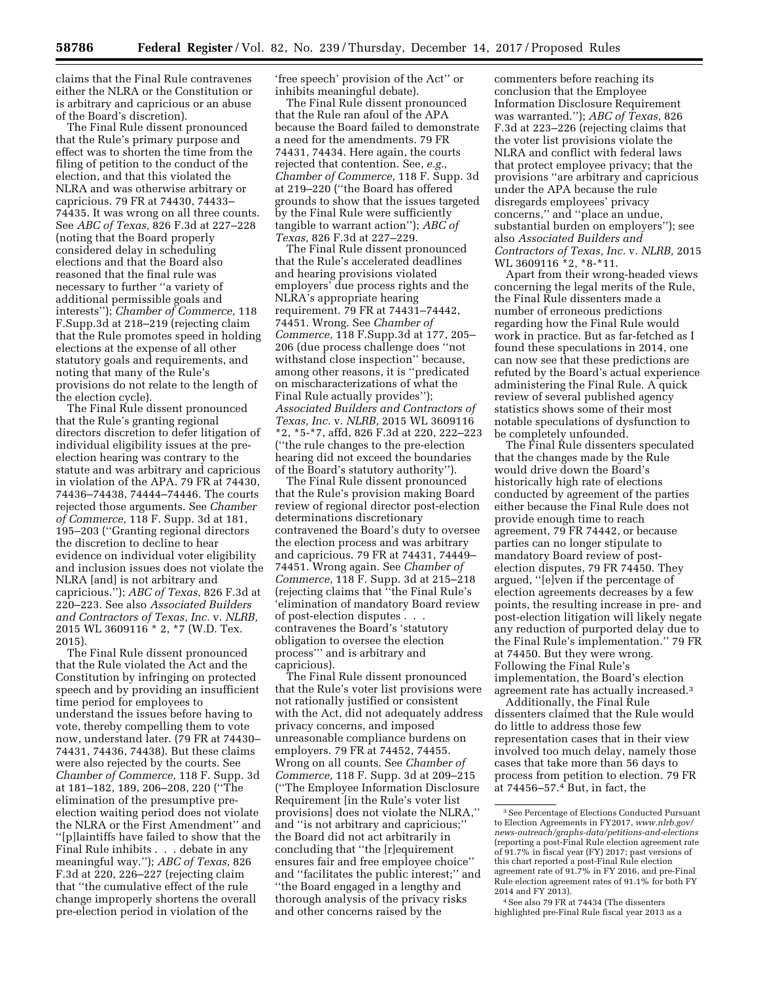claims that the Final Rule contravenes either the NLRA or the Constitution or is arbitrary and capricious or an abuse of the Board's discretion).

The Final Rule dissent pronounced that the Rule's primary purpose and effect was to shorten the time from the filing of petition to the conduct of the election, and that this violated the NLRA and was otherwise arbitrary or capricious. 79 FR at 74430, 74433– 74435. It was wrong on all three counts. See *ABC of Texas,* 826 F.3d at 227–228 (noting that the Board properly considered delay in scheduling elections and that the Board also reasoned that the final rule was necessary to further ''a variety of additional permissible goals and interests''); *Chamber of Commerce,* 118 F.Supp.3d at 218–219 (rejecting claim that the Rule promotes speed in holding elections at the expense of all other statutory goals and requirements, and noting that many of the Rule's provisions do not relate to the length of the election cycle).

The Final Rule dissent pronounced that the Rule's granting regional directors discretion to defer litigation of individual eligibility issues at the preelection hearing was contrary to the statute and was arbitrary and capricious in violation of the APA. 79 FR at 74430, 74436–74438, 74444–74446. The courts rejected those arguments. See *Chamber of Commerce,* 118 F. Supp. 3d at 181, 195–203 (''Granting regional directors the discretion to decline to hear evidence on individual voter eligibility and inclusion issues does not violate the NLRA [and] is not arbitrary and capricious.''); *ABC of Texas,* 826 F.3d at 220–223. See also *Associated Builders and Contractors of Texas, Inc.* v. *NLRB,*  2015 WL 3609116 \* 2, \*7 (W.D. Tex. 2015).

The Final Rule dissent pronounced that the Rule violated the Act and the Constitution by infringing on protected speech and by providing an insufficient time period for employees to understand the issues before having to vote, thereby compelling them to vote now, understand later. (79 FR at 74430– 74431, 74436, 74438). But these claims were also rejected by the courts. See *Chamber of Commerce,* 118 F. Supp. 3d at 181–182, 189, 206–208, 220 (''The elimination of the presumptive preelection waiting period does not violate the NLRA or the First Amendment'' and ''[p]laintiffs have failed to show that the Final Rule inhibits . . . debate in any meaningful way.''); *ABC of Texas,* 826 F.3d at  $220$ , 226-227 (rejecting claim that ''the cumulative effect of the rule change improperly shortens the overall pre-election period in violation of the

'free speech' provision of the Act'' or inhibits meaningful debate).

The Final Rule dissent pronounced that the Rule ran afoul of the APA because the Board failed to demonstrate a need for the amendments. 79 FR 74431, 74434. Here again, the courts rejected that contention. See, *e.g., Chamber of Commerce,* 118 F. Supp. 3d at 219–220 (''the Board has offered grounds to show that the issues targeted by the Final Rule were sufficiently tangible to warrant action''); *ABC of Texas,* 826 F.3d at 227–229.

The Final Rule dissent pronounced that the Rule's accelerated deadlines and hearing provisions violated employers' due process rights and the NLRA's appropriate hearing requirement. 79 FR at 74431–74442, 74451. Wrong. See *Chamber of Commerce,* 118 F.Supp.3d at 177, 205– 206 (due process challenge does ''not withstand close inspection'' because, among other reasons, it is ''predicated on mischaracterizations of what the Final Rule actually provides''); *Associated Builders and Contractors of Texas, Inc.* v. *NLRB,* 2015 WL 3609116 \*2, \*5-\*7, affd, 826 F.3d at 220, 222–223 (''the rule changes to the pre-election hearing did not exceed the boundaries of the Board's statutory authority'').

The Final Rule dissent pronounced that the Rule's provision making Board review of regional director post-election determinations discretionary contravened the Board's duty to oversee the election process and was arbitrary and capricious. 79 FR at 74431, 74449– 74451. Wrong again. See *Chamber of Commerce,* 118 F. Supp. 3d at 215–218 (rejecting claims that ''the Final Rule's 'elimination of mandatory Board review of post-election disputes . . . contravenes the Board's 'statutory obligation to oversee the election process''' and is arbitrary and capricious).

The Final Rule dissent pronounced that the Rule's voter list provisions were not rationally justified or consistent with the Act, did not adequately address privacy concerns, and imposed unreasonable compliance burdens on employers. 79 FR at 74452, 74455. Wrong on all counts. See *Chamber of Commerce,* 118 F. Supp. 3d at 209–215 (''The Employee Information Disclosure Requirement [in the Rule's voter list provisions] does not violate the NLRA,'' and ''is not arbitrary and capricious;'' the Board did not act arbitrarily in concluding that ''the [r]equirement ensures fair and free employee choice'' and ''facilitates the public interest;'' and ''the Board engaged in a lengthy and thorough analysis of the privacy risks and other concerns raised by the

commenters before reaching its conclusion that the Employee Information Disclosure Requirement was warranted.''); *ABC of Texas,* 826 F.3d at 223–226 (rejecting claims that the voter list provisions violate the NLRA and conflict with federal laws that protect employee privacy; that the provisions ''are arbitrary and capricious under the APA because the rule disregards employees' privacy concerns,'' and ''place an undue, substantial burden on employers''); see also *Associated Builders and Contractors of Texas, Inc.* v. *NLRB,* 2015 WL 3609116 \*2, \*8-\*11.

Apart from their wrong-headed views concerning the legal merits of the Rule, the Final Rule dissenters made a number of erroneous predictions regarding how the Final Rule would work in practice. But as far-fetched as I found these speculations in 2014, one can now see that these predictions are refuted by the Board's actual experience administering the Final Rule. A quick review of several published agency statistics shows some of their most notable speculations of dysfunction to be completely unfounded.

The Final Rule dissenters speculated that the changes made by the Rule would drive down the Board's historically high rate of elections conducted by agreement of the parties either because the Final Rule does not provide enough time to reach agreement, 79 FR 74442, or because parties can no longer stipulate to mandatory Board review of postelection disputes, 79 FR 74450. They argued, ''[e]ven if the percentage of election agreements decreases by a few points, the resulting increase in pre- and post-election litigation will likely negate any reduction of purported delay due to the Final Rule's implementation.'' 79 FR at 74450. But they were wrong. Following the Final Rule's implementation, the Board's election agreement rate has actually increased.3

Additionally, the Final Rule dissenters claimed that the Rule would do little to address those few representation cases that in their view involved too much delay, namely those cases that take more than 56 days to process from petition to election. 79 FR at 74456–57.4 But, in fact, the

4See also 79 FR at 74434 (The dissenters highlighted pre-Final Rule fiscal year 2013 as a

<sup>3</sup>See Percentage of Elections Conducted Pursuant to Election Agreements in FY2017, *[www.nlrb.gov/](http://www.nlrb.gov/news-outreach/graphs-data/petitions-and-elections)  [news-outreach/graphs-data/petitions-and-elections](http://www.nlrb.gov/news-outreach/graphs-data/petitions-and-elections)*  (reporting a post-Final Rule election agreement rate of 91.7% in fiscal year (FY) 2017; past versions of this chart reported a post-Final Rule election agreement rate of 91.7% in FY 2016, and pre-Final Rule election agreement rates of 91.1% for both FY 2014 and FY 2013).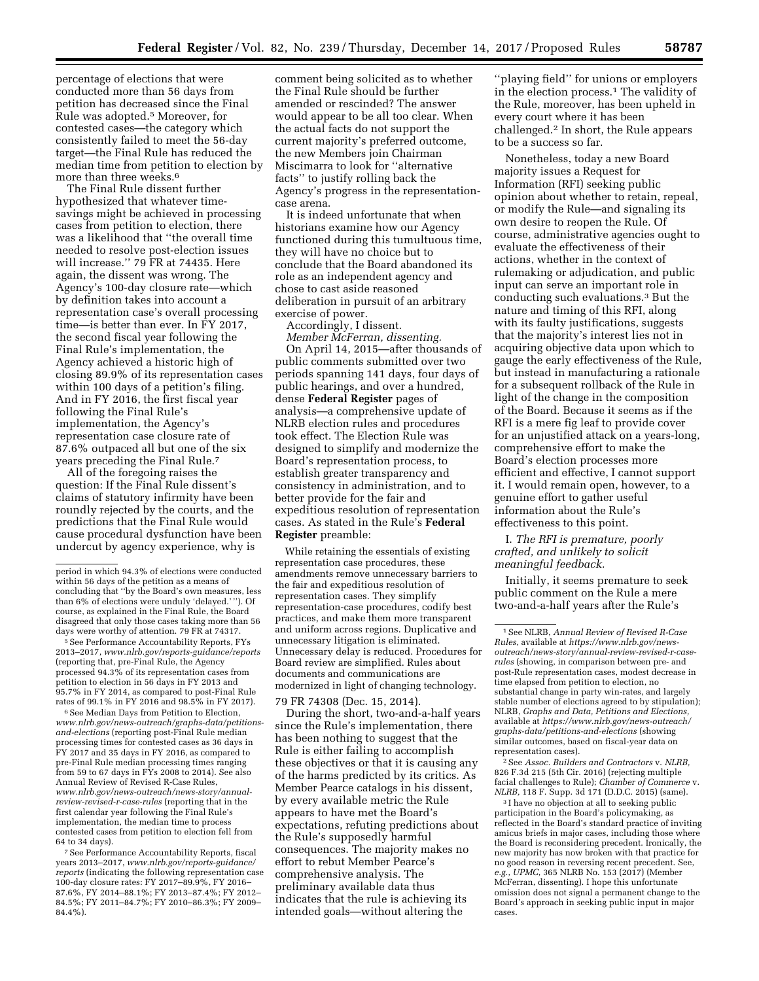percentage of elections that were conducted more than 56 days from petition has decreased since the Final Rule was adopted.5 Moreover, for contested cases—the category which consistently failed to meet the 56-day target—the Final Rule has reduced the median time from petition to election by more than three weeks.<sup>6</sup>

The Final Rule dissent further hypothesized that whatever timesavings might be achieved in processing cases from petition to election, there was a likelihood that ''the overall time needed to resolve post-election issues will increase.'' 79 FR at 74435. Here again, the dissent was wrong. The Agency's 100-day closure rate—which by definition takes into account a representation case's overall processing time—is better than ever. In FY 2017, the second fiscal year following the Final Rule's implementation, the Agency achieved a historic high of closing 89.9% of its representation cases within 100 days of a petition's filing. And in FY 2016, the first fiscal year following the Final Rule's implementation, the Agency's representation case closure rate of 87.6% outpaced all but one of the six years preceding the Final Rule.7

All of the foregoing raises the question: If the Final Rule dissent's claims of statutory infirmity have been roundly rejected by the courts, and the predictions that the Final Rule would cause procedural dysfunction have been undercut by agency experience, why is

5See Performance Accountability Reports, FYs 2013–2017, *[www.nlrb.gov/reports-guidance/reports](http://www.nlrb.gov/reports-guidance/reports)*  (reporting that, pre-Final Rule, the Agency processed 94.3% of its representation cases from petition to election in 56 days in FY 2013 and 95.7% in FY 2014, as compared to post-Final Rule rates of 99.1% in FY 2016 and 98.5% in FY 2017).

<sup>6</sup> See Median Days from Petition to Election, *[www.nlrb.gov/news-outreach/graphs-data/petitions](http://www.nlrb.gov/news-outreach/graphs-data/petitions-and-elections)[and-elections](http://www.nlrb.gov/news-outreach/graphs-data/petitions-and-elections)* (reporting post-Final Rule median processing times for contested cases as 36 days in FY 2017 and 35 days in FY 2016, as compared to pre-Final Rule median processing times ranging from 59 to 67 days in FYs 2008 to 2014). See also Annual Review of Revised R-Case Rules, *[www.nlrb.gov/news-outreach/news-story/annual](http://www.nlrb.gov/news-outreach/news-story/annual-review-revised-r-case-rules)[review-revised-r-case-rules](http://www.nlrb.gov/news-outreach/news-story/annual-review-revised-r-case-rules)* (reporting that in the first calendar year following the Final Rule's implementation, the median time to process contested cases from petition to election fell from 64 to 34 days).

7See Performance Accountability Reports, fiscal years 2013–2017, *[www.nlrb.gov/reports-guidance/](http://www.nlrb.gov/reports-guidance/reports) [reports](http://www.nlrb.gov/reports-guidance/reports)* (indicating the following representation case 100-day closure rates: FY 2017–89.9%, FY 2016– 87.6%, FY 2014–88.1%; FY 2013–87.4%; FY 2012– 84.5%; FY 2011–84.7%; FY 2010–86.3%; FY 2009– 84.4%).

comment being solicited as to whether the Final Rule should be further amended or rescinded? The answer would appear to be all too clear. When the actual facts do not support the current majority's preferred outcome, the new Members join Chairman Miscimarra to look for ''alternative facts'' to justify rolling back the Agency's progress in the representationcase arena.

It is indeed unfortunate that when historians examine how our Agency functioned during this tumultuous time, they will have no choice but to conclude that the Board abandoned its role as an independent agency and chose to cast aside reasoned deliberation in pursuit of an arbitrary exercise of power.

Accordingly, I dissent.

*Member McFerran, dissenting.*  On April 14, 2015—after thousands of public comments submitted over two periods spanning 141 days, four days of public hearings, and over a hundred, dense **Federal Register** pages of analysis—a comprehensive update of NLRB election rules and procedures took effect. The Election Rule was designed to simplify and modernize the Board's representation process, to establish greater transparency and consistency in administration, and to better provide for the fair and expeditious resolution of representation cases. As stated in the Rule's **Federal Register** preamble:

While retaining the essentials of existing representation case procedures, these amendments remove unnecessary barriers to the fair and expeditious resolution of representation cases. They simplify representation-case procedures, codify best practices, and make them more transparent and uniform across regions. Duplicative and unnecessary litigation is eliminated. Unnecessary delay is reduced. Procedures for Board review are simplified. Rules about documents and communications are modernized in light of changing technology.

79 FR 74308 (Dec. 15, 2014).

During the short, two-and-a-half years since the Rule's implementation, there has been nothing to suggest that the Rule is either failing to accomplish these objectives or that it is causing any of the harms predicted by its critics. As Member Pearce catalogs in his dissent, by every available metric the Rule appears to have met the Board's expectations, refuting predictions about the Rule's supposedly harmful consequences. The majority makes no effort to rebut Member Pearce's comprehensive analysis. The preliminary available data thus indicates that the rule is achieving its intended goals—without altering the

''playing field'' for unions or employers in the election process.<sup>1</sup> The validity of the Rule, moreover, has been upheld in every court where it has been challenged.2 In short, the Rule appears to be a success so far.

Nonetheless, today a new Board majority issues a Request for Information (RFI) seeking public opinion about whether to retain, repeal, or modify the Rule—and signaling its own desire to reopen the Rule. Of course, administrative agencies ought to evaluate the effectiveness of their actions, whether in the context of rulemaking or adjudication, and public input can serve an important role in conducting such evaluations.3 But the nature and timing of this RFI, along with its faulty justifications, suggests that the majority's interest lies not in acquiring objective data upon which to gauge the early effectiveness of the Rule, but instead in manufacturing a rationale for a subsequent rollback of the Rule in light of the change in the composition of the Board. Because it seems as if the RFI is a mere fig leaf to provide cover for an unjustified attack on a years-long, comprehensive effort to make the Board's election processes more efficient and effective, I cannot support it. I would remain open, however, to a genuine effort to gather useful information about the Rule's effectiveness to this point.

# I. *The RFI is premature, poorly crafted, and unlikely to solicit meaningful feedback.*

Initially, it seems premature to seek public comment on the Rule a mere two-and-a-half years after the Rule's

2See *Assoc. Builders and Contractors* v. *NLRB,*  826 F.3d 215 (5th Cir. 2016) (rejecting multiple facial challenges to Rule); *Chamber of Commerce* v. *NLRB,* 118 F. Supp. 3d 171 (D.D.C. 2015) (same).

<sup>3</sup> I have no objection at all to seeking public participation in the Board's policymaking, as reflected in the Board's standard practice of inviting amicus briefs in major cases, including those where the Board is reconsidering precedent. Ironically, the new majority has now broken with that practice for no good reason in reversing recent precedent. See, *e.g., UPMC,* 365 NLRB No. 153 (2017) (Member McFerran, dissenting). I hope this unfortunate omission does not signal a permanent change to the Board's approach in seeking public input in major cases.

period in which 94.3% of elections were conducted within 56 days of the petition as a means of concluding that ''by the Board's own measures, less than 6% of elections were unduly 'delayed.' ''). Of course, as explained in the Final Rule, the Board disagreed that only those cases taking more than 56 days were worthy of attention. 79 FR at 74317.

<sup>1</sup>See NLRB, *Annual Review of Revised R-Case Rules,* available at *https://[www.nlrb.gov/](http://www.nlrb.gov)newsoutreach/news-story/annual-review-revised-r-caserules* (showing, in comparison between pre- and post-Rule representation cases, modest decrease in time elapsed from petition to election, no substantial change in party win-rates, and largely stable number of elections agreed to by stipulation); NLRB, *Graphs and Data, Petitions and Elections,*  available at *[https://www.nlrb.gov/news-outreach/](https://www.nlrb.gov/news-outreach/graphs-data/petitions-and-elections)  [graphs-data/petitions-and-elections](https://www.nlrb.gov/news-outreach/graphs-data/petitions-and-elections)* (showing similar outcomes, based on fiscal-year data on representation cases).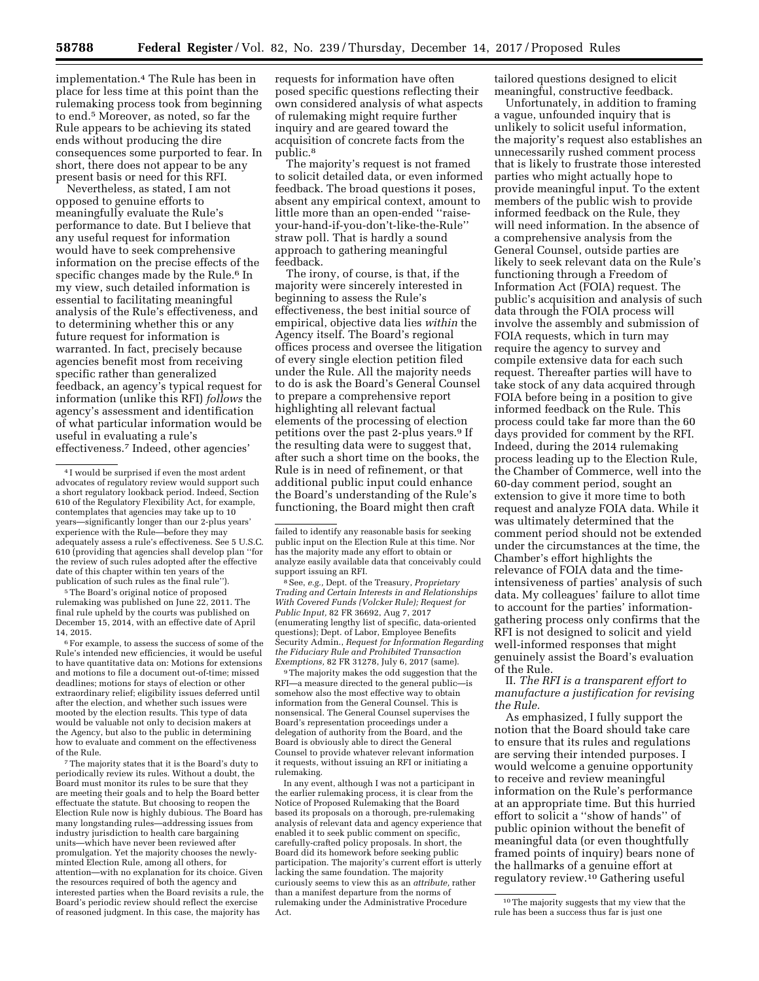implementation.4 The Rule has been in place for less time at this point than the rulemaking process took from beginning to end.5 Moreover, as noted, so far the Rule appears to be achieving its stated ends without producing the dire consequences some purported to fear. In short, there does not appear to be any present basis or need for this RFI.

Nevertheless, as stated, I am not opposed to genuine efforts to meaningfully evaluate the Rule's performance to date. But I believe that any useful request for information would have to seek comprehensive information on the precise effects of the specific changes made by the Rule.<sup>6</sup> In my view, such detailed information is essential to facilitating meaningful analysis of the Rule's effectiveness, and to determining whether this or any future request for information is warranted. In fact, precisely because agencies benefit most from receiving specific rather than generalized feedback, an agency's typical request for information (unlike this RFI) *follows* the agency's assessment and identification of what particular information would be useful in evaluating a rule's effectiveness.7 Indeed, other agencies'

5The Board's original notice of proposed rulemaking was published on June 22, 2011. The final rule upheld by the courts was published on December 15, 2014, with an effective date of April 14, 2015.

6For example, to assess the success of some of the Rule's intended new efficiencies, it would be useful to have quantitative data on: Motions for extensions and motions to file a document out-of-time; missed deadlines; motions for stays of election or other extraordinary relief; eligibility issues deferred until after the election, and whether such issues were mooted by the election results. This type of data would be valuable not only to decision makers at the Agency, but also to the public in determining how to evaluate and comment on the effectiveness of the Rule.

7The majority states that it is the Board's duty to periodically review its rules. Without a doubt, the Board must monitor its rules to be sure that they are meeting their goals and to help the Board better effectuate the statute. But choosing to reopen the Election Rule now is highly dubious. The Board has many longstanding rules—addressing issues from industry jurisdiction to health care bargaining units—which have never been reviewed after promulgation. Yet the majority chooses the newlyminted Election Rule, among all others, for attention—with no explanation for its choice. Given the resources required of both the agency and interested parties when the Board revisits a rule, the Board's periodic review should reflect the exercise of reasoned judgment. In this case, the majority has

requests for information have often posed specific questions reflecting their own considered analysis of what aspects of rulemaking might require further inquiry and are geared toward the acquisition of concrete facts from the public.8

The majority's request is not framed to solicit detailed data, or even informed feedback. The broad questions it poses, absent any empirical context, amount to little more than an open-ended ''raiseyour-hand-if-you-don't-like-the-Rule'' straw poll. That is hardly a sound approach to gathering meaningful feedback.

The irony, of course, is that, if the majority were sincerely interested in beginning to assess the Rule's effectiveness, the best initial source of empirical, objective data lies *within* the Agency itself. The Board's regional offices process and oversee the litigation of every single election petition filed under the Rule. All the majority needs to do is ask the Board's General Counsel to prepare a comprehensive report highlighting all relevant factual elements of the processing of election petitions over the past 2-plus years.9 If the resulting data were to suggest that, after such a short time on the books, the Rule is in need of refinement, or that additional public input could enhance the Board's understanding of the Rule's functioning, the Board might then craft

8See, *e.g.,* Dept. of the Treasury, *Proprietary Trading and Certain Interests in and Relationships With Covered Funds (Volcker Rule); Request for Public Input,* 82 FR 36692, Aug 7, 2017 (enumerating lengthy list of specific, data-oriented questions); Dept. of Labor, Employee Benefits Security Admin., *Request for Information Regarding the Fiduciary Rule and Prohibited Transaction Exemptions,* 82 FR 31278, July 6, 2017 (same).

<sup>9</sup>The majority makes the odd suggestion that the RFI—a measure directed to the general public—is somehow also the most effective way to obtain information from the General Counsel. This is nonsensical. The General Counsel supervises the Board's representation proceedings under a delegation of authority from the Board, and the Board is obviously able to direct the General Counsel to provide whatever relevant information it requests, without issuing an RFI or initiating a rulemaking.

In any event, although I was not a participant in the earlier rulemaking process, it is clear from the Notice of Proposed Rulemaking that the Board based its proposals on a thorough, pre-rulemaking analysis of relevant data and agency experience that enabled it to seek public comment on specific, carefully-crafted policy proposals. In short, the Board did its homework before seeking public participation. The majority's current effort is utterly lacking the same foundation. The majority curiously seems to view this as an *attribute,* rather than a manifest departure from the norms of rulemaking under the Administrative Procedure Act.

tailored questions designed to elicit meaningful, constructive feedback.

Unfortunately, in addition to framing a vague, unfounded inquiry that is unlikely to solicit useful information, the majority's request also establishes an unnecessarily rushed comment process that is likely to frustrate those interested parties who might actually hope to provide meaningful input. To the extent members of the public wish to provide informed feedback on the Rule, they will need information. In the absence of a comprehensive analysis from the General Counsel, outside parties are likely to seek relevant data on the Rule's functioning through a Freedom of Information Act (FOIA) request. The public's acquisition and analysis of such data through the FOIA process will involve the assembly and submission of FOIA requests, which in turn may require the agency to survey and compile extensive data for each such request. Thereafter parties will have to take stock of any data acquired through FOIA before being in a position to give informed feedback on the Rule. This process could take far more than the 60 days provided for comment by the RFI. Indeed, during the 2014 rulemaking process leading up to the Election Rule, the Chamber of Commerce, well into the 60-day comment period, sought an extension to give it more time to both request and analyze FOIA data. While it was ultimately determined that the comment period should not be extended under the circumstances at the time, the Chamber's effort highlights the relevance of FOIA data and the timeintensiveness of parties' analysis of such data. My colleagues' failure to allot time to account for the parties' informationgathering process only confirms that the RFI is not designed to solicit and yield well-informed responses that might genuinely assist the Board's evaluation of the Rule.

II. *The RFI is a transparent effort to manufacture a justification for revising the Rule.* 

As emphasized, I fully support the notion that the Board should take care to ensure that its rules and regulations are serving their intended purposes. I would welcome a genuine opportunity to receive and review meaningful information on the Rule's performance at an appropriate time. But this hurried effort to solicit a ''show of hands'' of public opinion without the benefit of meaningful data (or even thoughtfully framed points of inquiry) bears none of the hallmarks of a genuine effort at regulatory review.<sup>10</sup> Gathering useful

<sup>4</sup> I would be surprised if even the most ardent advocates of regulatory review would support such a short regulatory lookback period. Indeed, Section 610 of the Regulatory Flexibility Act, for example, contemplates that agencies may take up to 10 years—significantly longer than our 2-plus years' experience with the Rule—before they may adequately assess a rule's effectiveness. See 5 U.S.C. 610 (providing that agencies shall develop plan ''for the review of such rules adopted after the effective date of this chapter within ten years of the publication of such rules as the final rule")

failed to identify any reasonable basis for seeking public input on the Election Rule at this time. Nor has the majority made any effort to obtain or analyze easily available data that conceivably could support issuing an RFI.

<sup>10</sup>The majority suggests that my view that the rule has been a success thus far is just one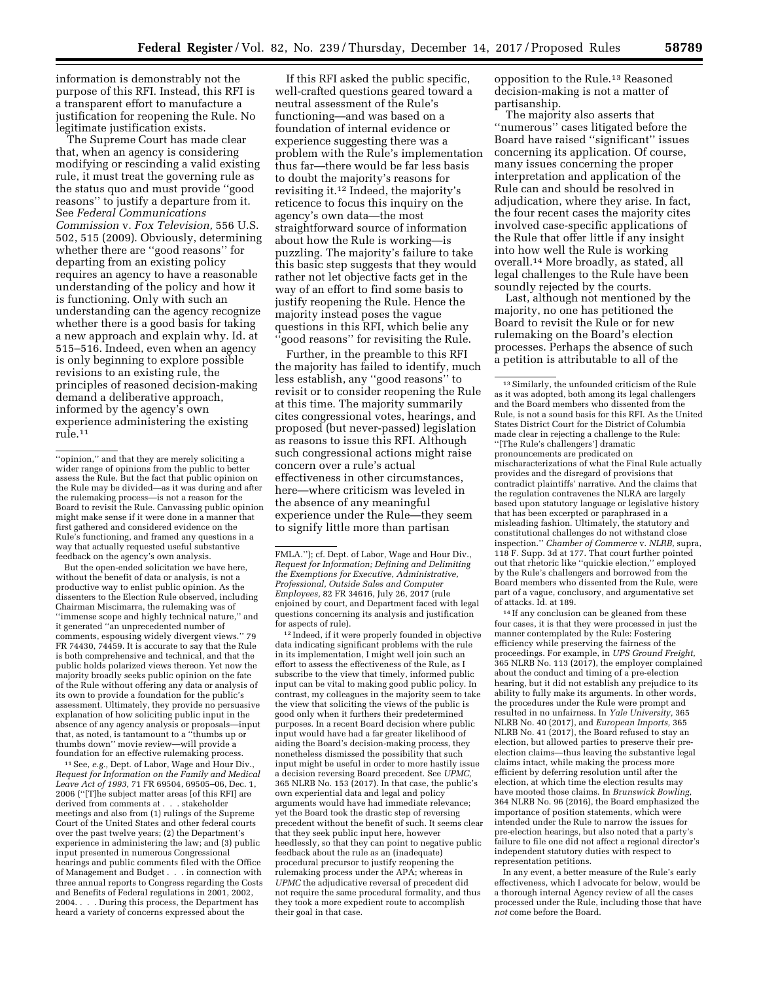information is demonstrably not the purpose of this RFI. Instead, this RFI is a transparent effort to manufacture a justification for reopening the Rule. No legitimate justification exists.

The Supreme Court has made clear that, when an agency is considering modifying or rescinding a valid existing rule, it must treat the governing rule as the status quo and must provide ''good reasons'' to justify a departure from it. See *Federal Communications Commission* v. *Fox Television,* 556 U.S. 502, 515 (2009). Obviously, determining whether there are ''good reasons'' for departing from an existing policy requires an agency to have a reasonable understanding of the policy and how it is functioning. Only with such an understanding can the agency recognize whether there is a good basis for taking a new approach and explain why. Id. at 515–516. Indeed, even when an agency is only beginning to explore possible revisions to an existing rule, the principles of reasoned decision-making demand a deliberative approach, informed by the agency's own experience administering the existing rule.11

But the open-ended solicitation we have here, without the benefit of data or analysis, is not a productive way to enlist public opinion. As the dissenters to the Election Rule observed, including Chairman Miscimarra, the rulemaking was of ''immense scope and highly technical nature,'' and it generated ''an unprecedented number of comments, espousing widely divergent views.'' 79 FR 74430, 74459. It is accurate to say that the Rule is both comprehensive and technical, and that the public holds polarized views thereon. Yet now the majority broadly seeks public opinion on the fate of the Rule without offering any data or analysis of its own to provide a foundation for the public's assessment. Ultimately, they provide no persuasive explanation of how soliciting public input in the absence of any agency analysis or proposals—input that, as noted, is tantamount to a ''thumbs up or thumbs down'' movie review—will provide a foundation for an effective rulemaking process.

11See, *e.g.,* Dept. of Labor, Wage and Hour Div., *Request for Information on the Family and Medical Leave Act of 1993,* 71 FR 69504, 69505–06, Dec. 1, 2006 (''[T]he subject matter areas [of this RFI] are derived from comments at . . . stakeholder meetings and also from (1) rulings of the Supreme Court of the United States and other federal courts over the past twelve years; (2) the Department's experience in administering the law; and (3) public input presented in numerous Congressional hearings and public comments filed with the Office of Management and Budget . . . in connection with three annual reports to Congress regarding the Costs and Benefits of Federal regulations in 2001, 2002, 2004. . . . During this process, the Department has heard a variety of concerns expressed about the

If this RFI asked the public specific, well-crafted questions geared toward a neutral assessment of the Rule's functioning—and was based on a foundation of internal evidence or experience suggesting there was a problem with the Rule's implementation thus far—there would be far less basis to doubt the majority's reasons for revisiting it.12 Indeed, the majority's reticence to focus this inquiry on the agency's own data—the most straightforward source of information about how the Rule is working—is puzzling. The majority's failure to take this basic step suggests that they would rather not let objective facts get in the way of an effort to find some basis to justify reopening the Rule. Hence the majority instead poses the vague questions in this RFI, which belie any 'good reasons" for revisiting the Rule.

Further, in the preamble to this RFI the majority has failed to identify, much less establish, any ''good reasons'' to revisit or to consider reopening the Rule at this time. The majority summarily cites congressional votes, hearings, and proposed (but never-passed) legislation as reasons to issue this RFI. Although such congressional actions might raise concern over a rule's actual effectiveness in other circumstances, here—where criticism was leveled in the absence of any meaningful experience under the Rule—they seem to signify little more than partisan

12 Indeed, if it were properly founded in objective data indicating significant problems with the rule in its implementation, I might well join such an effort to assess the effectiveness of the Rule, as I subscribe to the view that timely, informed public input can be vital to making good public policy. In contrast, my colleagues in the majority seem to take the view that soliciting the views of the public is good only when it furthers their predetermined purposes. In a recent Board decision where public input would have had a far greater likelihood of aiding the Board's decision-making process, they nonetheless dismissed the possibility that such input might be useful in order to more hastily issue a decision reversing Board precedent. See *UPMC,*  365 NLRB No. 153 (2017). In that case, the public's own experiential data and legal and policy arguments would have had immediate relevance; yet the Board took the drastic step of reversing precedent without the benefit of such. It seems clear that they seek public input here, however heedlessly, so that they can point to negative public feedback about the rule as an (inadequate) procedural precursor to justify reopening the rulemaking process under the APA; whereas in *UPMC* the adjudicative reversal of precedent did not require the same procedural formality, and thus they took a more expedient route to accomplish their goal in that case.

opposition to the Rule.13 Reasoned decision-making is not a matter of partisanship.

The majority also asserts that ''numerous'' cases litigated before the Board have raised ''significant'' issues concerning its application. Of course, many issues concerning the proper interpretation and application of the Rule can and should be resolved in adjudication, where they arise. In fact, the four recent cases the majority cites involved case-specific applications of the Rule that offer little if any insight into how well the Rule is working overall.14 More broadly, as stated, all legal challenges to the Rule have been soundly rejected by the courts.

Last, although not mentioned by the majority, no one has petitioned the Board to revisit the Rule or for new rulemaking on the Board's election processes. Perhaps the absence of such a petition is attributable to all of the

<sup>14</sup> If any conclusion can be gleaned from these four cases, it is that they were processed in just the manner contemplated by the Rule: Fostering efficiency while preserving the fairness of the proceedings. For example, in *UPS Ground Freight,*  365 NLRB No. 113 (2017), the employer complained about the conduct and timing of a pre-election hearing, but it did not establish any prejudice to its ability to fully make its arguments. In other words, the procedures under the Rule were prompt and resulted in no unfairness. In *Yale University,* 365 NLRB No. 40 (2017), and *European Imports,* 365 NLRB No. 41 (2017), the Board refused to stay an election, but allowed parties to preserve their preelection claims—thus leaving the substantive legal claims intact, while making the process more efficient by deferring resolution until after the election, at which time the election results may have mooted those claims. In *Brunswick Bowling,*  364 NLRB No. 96 (2016), the Board emphasized the importance of position statements, which were intended under the Rule to narrow the issues for pre-election hearings, but also noted that a party's failure to file one did not affect a regional director's independent statutory duties with respect to representation petitions.

In any event, a better measure of the Rule's early effectiveness, which I advocate for below, would be a thorough internal Agency review of all the cases processed under the Rule, including those that have *not* come before the Board.

<sup>&#</sup>x27;'opinion,'' and that they are merely soliciting a wider range of opinions from the public to better assess the Rule. But the fact that public opinion on the Rule may be divided—as it was during and after the rulemaking process—is not a reason for the Board to revisit the Rule. Canvassing public opinion might make sense if it were done in a manner that first gathered and considered evidence on the Rule's functioning, and framed any questions in a way that actually requested useful substantive feedback on the agency's own analysis.

FMLA.''); cf. Dept. of Labor, Wage and Hour Div., *Request for Information; Defining and Delimiting the Exemptions for Executive, Administrative, Professional, Outside Sales and Computer Employees,* 82 FR 34616, July 26, 2017 (rule enjoined by court, and Department faced with legal questions concerning its analysis and justification for aspects of rule).

<sup>13</sup>Similarly, the unfounded criticism of the Rule as it was adopted, both among its legal challengers and the Board members who dissented from the Rule, is not a sound basis for this RFI. As the United States District Court for the District of Columbia made clear in rejecting a challenge to the Rule: ''[The Rule's challengers'] dramatic pronouncements are predicated on mischaracterizations of what the Final Rule actually provides and the disregard of provisions that contradict plaintiffs' narrative. And the claims that the regulation contravenes the NLRA are largely based upon statutory language or legislative history that has been excerpted or paraphrased in a misleading fashion. Ultimately, the statutory and constitutional challenges do not withstand close inspection.'' *Chamber of Commerce* v. *NLRB,* supra, 118 F. Supp. 3d at 177. That court further pointed out that rhetoric like ''quickie election,'' employed by the Rule's challengers and borrowed from the Board members who dissented from the Rule, were part of a vague, conclusory, and argumentative set of attacks. Id. at 189.